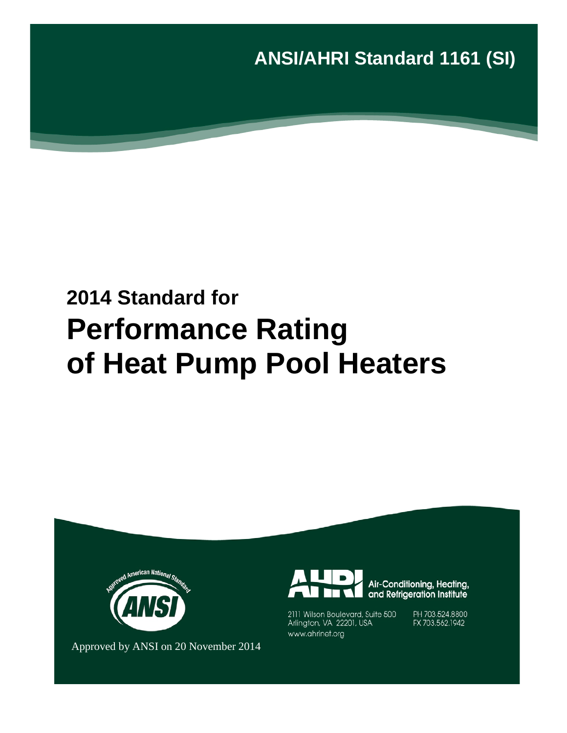**ANSI/AHRI Standard 1161 (SI)**

# **2014 Standard for Performance Rating of Heat Pump Pool Heaters**



Air-Conditioning, Heating,<br>and Refrigeration Institute

2111 Wilson Boulevard, Suite 500 Arlington, VA 22201, USA www.ahrinet.org

PH 703.524.8800 FX 703.562.1942

Approved by ANSI on 20 November 2014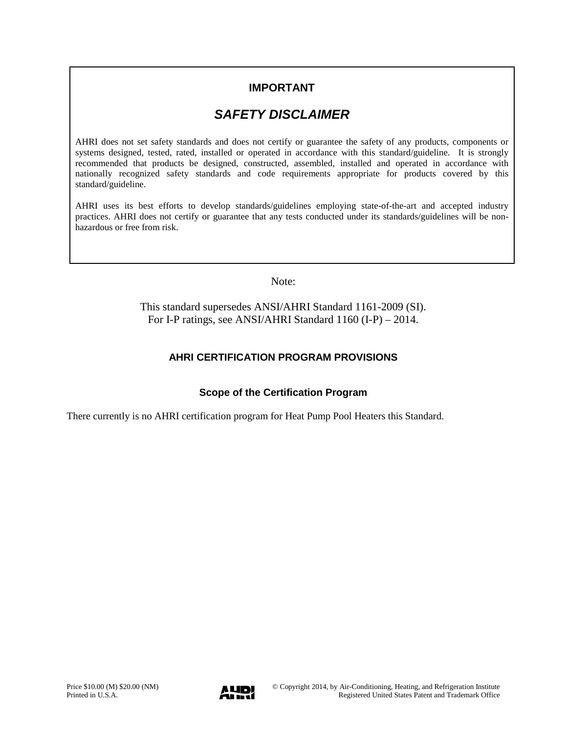# **IMPORTANT**

# *SAFETY DISCLAIMER*

AHRI does not set safety standards and does not certify or guarantee the safety of any products, components or systems designed, tested, rated, installed or operated in accordance with this standard/guideline. It is strongly recommended that products be designed, constructed, assembled, installed and operated in accordance with nationally recognized safety standards and code requirements appropriate for products covered by this standard/guideline.

AHRI uses its best efforts to develop standards/guidelines employing state-of-the-art and accepted industry practices. AHRI does not certify or guarantee that any tests conducted under its standards/guidelines will be nonhazardous or free from risk.

Note:

This standard supersedes ANSI/AHRI Standard 1161-2009 (SI). For I-P ratings, see ANSI/AHRI Standard 1160 (I-P) – 2014.

## **AHRI CERTIFICATION PROGRAM PROVISIONS**

### **Scope of the Certification Program**

There currently is no AHRI certification program for Heat Pump Pool Heaters this Standard.

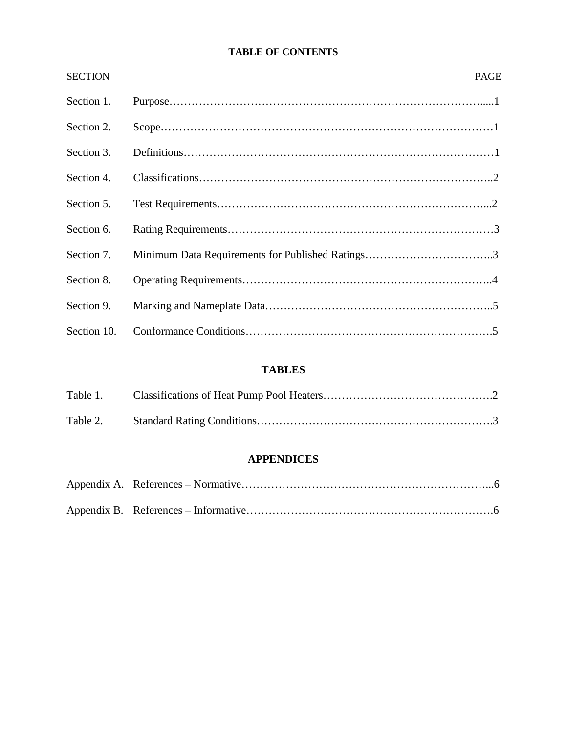## **TABLE OF CONTENTS**

| <b>SECTION</b> | <b>PAGE</b> |
|----------------|-------------|
| Section 1.     |             |
| Section 2.     |             |
| Section 3.     |             |
| Section 4.     |             |
| Section 5.     |             |
| Section 6.     |             |
| Section 7.     |             |
| Section 8.     |             |
| Section 9.     |             |
| Section 10.    |             |

# **TABLES**

## **APPENDICES**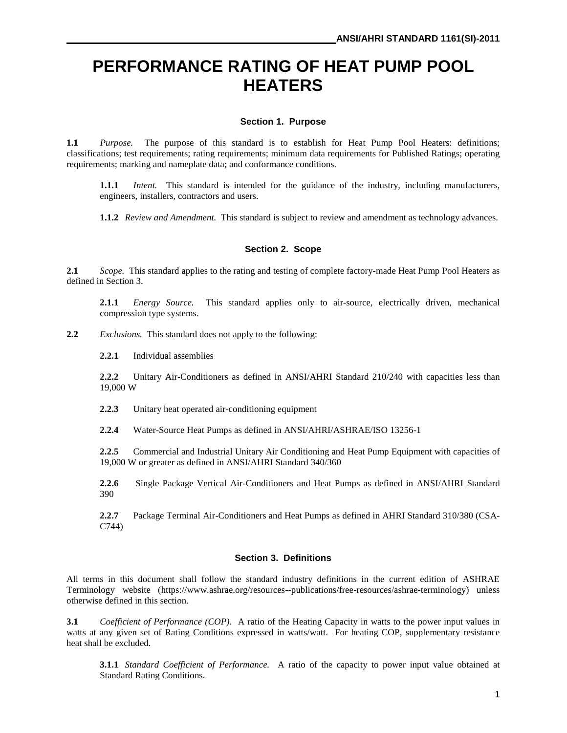# **PERFORMANCE RATING OF HEAT PUMP POOL HEATERS**

#### **Section 1. Purpose**

**1.1** *Purpose.* The purpose of this standard is to establish for Heat Pump Pool Heaters: definitions; classifications; test requirements; rating requirements; minimum data requirements for Published Ratings; operating requirements; marking and nameplate data; and conformance conditions.

**1.1.1** *Intent.* This standard is intended for the guidance of the industry, including manufacturers, engineers, installers, contractors and users.

**1.1.2** *Review and Amendment.* This standard is subject to review and amendment as technology advances.

#### **Section 2. Scope**

**2.1** *Scope.* This standard applies to the rating and testing of complete factory-made Heat Pump Pool Heaters as defined in Section 3.

**2.1.1** *Energy Source.* This standard applies only to air-source, electrically driven, mechanical compression type systems.

**2.2** *Exclusions.* This standard does not apply to the following:

**2.2.1** Individual assemblies

**2.2.2** Unitary Air-Conditioners as defined in ANSI/AHRI Standard 210/240 with capacities less than 19,000 W

**2.2.3** Unitary heat operated air-conditioning equipment

**2.2.4** Water-Source Heat Pumps as defined in ANSI/AHRI/ASHRAE/ISO 13256-1

**2.2.5** Commercial and Industrial Unitary Air Conditioning and Heat Pump Equipment with capacities of 19,000 W or greater as defined in ANSI/AHRI Standard 340/360

**2.2.6** Single Package Vertical Air-Conditioners and Heat Pumps as defined in ANSI/AHRI Standard 390

**2.2.7** Package Terminal Air-Conditioners and Heat Pumps as defined in AHRI Standard 310/380 (CSA-C744)

#### **Section 3. Definitions**

All terms in this document shall follow the standard industry definitions in the current edition of ASHRAE Terminology website (https://www.ashrae.org/resources--publications/free-resources/ashrae-terminology) unless otherwise defined in this section.

**3.1** *Coefficient of Performance (COP).* A ratio of the Heating Capacity in watts to the power input values in watts at any given set of Rating Conditions expressed in watts/watt. For heating COP, supplementary resistance heat shall be excluded.

**3.1.1** *Standard Coefficient of Performance.* A ratio of the capacity to power input value obtained at Standard Rating Conditions.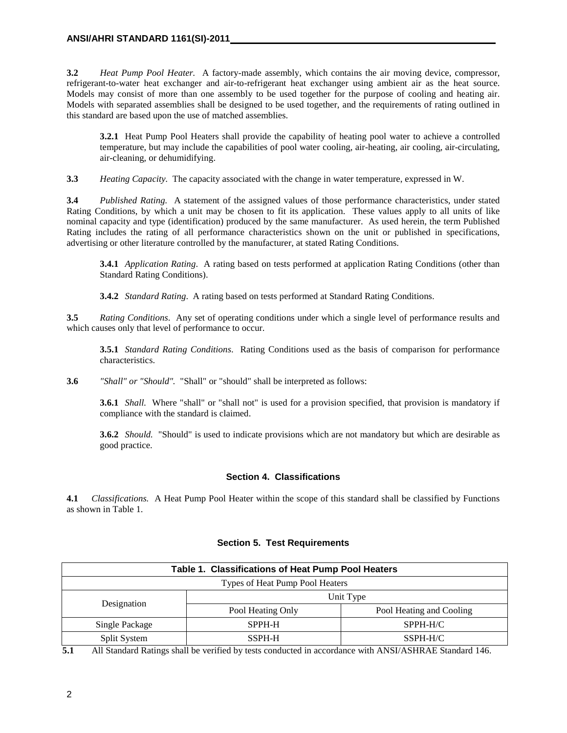**3.2** *Heat Pump Pool Heater.* A factory-made assembly, which contains the air moving device, compressor, refrigerant-to-water heat exchanger and air-to-refrigerant heat exchanger using ambient air as the heat source. Models may consist of more than one assembly to be used together for the purpose of cooling and heating air. Models with separated assemblies shall be designed to be used together, and the requirements of rating outlined in this standard are based upon the use of matched assemblies.

**3.2.1** Heat Pump Pool Heaters shall provide the capability of heating pool water to achieve a controlled temperature, but may include the capabilities of pool water cooling, air-heating, air cooling, air-circulating, air-cleaning, or dehumidifying.

**3.3** *Heating Capacity.* The capacity associated with the change in water temperature, expressed in W.

**3.4** *Published Rating.* A statement of the assigned values of those performance characteristics, under stated Rating Conditions, by which a unit may be chosen to fit its application. These values apply to all units of like nominal capacity and type (identification) produced by the same manufacturer. As used herein, the term Published Rating includes the rating of all performance characteristics shown on the unit or published in specifications, advertising or other literature controlled by the manufacturer, at stated Rating Conditions.

**3.4.1** *Application Rating*. A rating based on tests performed at application Rating Conditions (other than Standard Rating Conditions).

**3.4.2** *Standard Rating*. A rating based on tests performed at Standard Rating Conditions.

**3.5** *Rating Conditions*. Any set of operating conditions under which a single level of performance results and which causes only that level of performance to occur.

**3.5.1** *Standard Rating Conditions*. Rating Conditions used as the basis of comparison for performance characteristics.

**3.6** *"Shall" or "Should".* "Shall" or "should" shall be interpreted as follows:

**3.6.1** *Shall.* Where "shall" or "shall not" is used for a provision specified, that provision is mandatory if compliance with the standard is claimed.

**3.6.2** *Should.* "Should" is used to indicate provisions which are not mandatory but which are desirable as good practice.

#### **Section 4. Classifications**

**4.1** *Classifications.* A Heat Pump Pool Heater within the scope of this standard shall be classified by Functions as shown in Table 1.

| Table 1. Classifications of Heat Pump Pool Heaters |                   |                          |  |  |  |  |
|----------------------------------------------------|-------------------|--------------------------|--|--|--|--|
| Types of Heat Pump Pool Heaters                    |                   |                          |  |  |  |  |
|                                                    | Unit Type         |                          |  |  |  |  |
| Designation                                        | Pool Heating Only | Pool Heating and Cooling |  |  |  |  |
| Single Package                                     | SPPH-H            | SPPH-H/C                 |  |  |  |  |
| Split System                                       | SSPH-H            | SSPH-H/C                 |  |  |  |  |

#### **Section 5. Test Requirements**

**5.1** All Standard Ratings shall be verified by tests conducted in accordance with ANSI/ASHRAE Standard 146.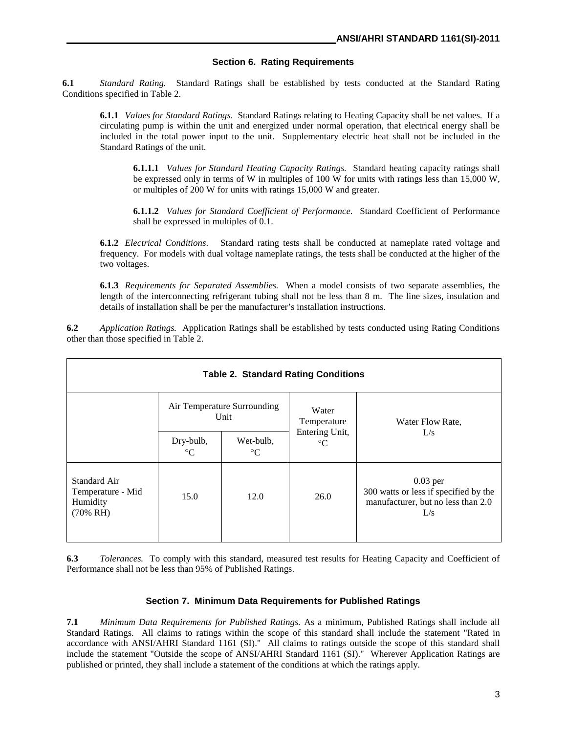#### **Section 6. Rating Requirements**

**6.1** *Standard Rating.* Standard Ratings shall be established by tests conducted at the Standard Rating Conditions specified in Table 2.

**6.1.1** *Values for Standard Ratings*.Standard Ratings relating to Heating Capacity shall be net values. If a circulating pump is within the unit and energized under normal operation, that electrical energy shall be included in the total power input to the unit. Supplementary electric heat shall not be included in the Standard Ratings of the unit.

**6.1.1.1** *Values for Standard Heating Capacity Ratings.* Standard heating capacity ratings shall be expressed only in terms of W in multiples of 100 W for units with ratings less than 15,000 W, or multiples of 200 W for units with ratings 15,000 W and greater.

**6.1.1.2** *Values for Standard Coefficient of Performance.* Standard Coefficient of Performance shall be expressed in multiples of 0.1.

**6.1.2** *Electrical Conditions*. Standard rating tests shall be conducted at nameplate rated voltage and frequency. For models with dual voltage nameplate ratings, the tests shall be conducted at the higher of the two voltages.

**6.1.3** *Requirements for Separated Assemblies.* When a model consists of two separate assemblies, the length of the interconnecting refrigerant tubing shall not be less than 8 m. The line sizes, insulation and details of installation shall be per the manufacturer's installation instructions.

**6.2** *Application Ratings.* Application Ratings shall be established by tests conducted using Rating Conditions other than those specified in Table 2.

| <b>Table 2. Standard Rating Conditions</b>                      |                                     |                              |                                   |                                                                                                  |  |  |  |
|-----------------------------------------------------------------|-------------------------------------|------------------------------|-----------------------------------|--------------------------------------------------------------------------------------------------|--|--|--|
|                                                                 | Air Temperature Surrounding<br>Unit |                              | Water<br>Temperature              | Water Flow Rate,                                                                                 |  |  |  |
|                                                                 | Dry-bulb,<br>$^{\circ}C$            | Wet-bulb,<br>$\rm ^{\circ}C$ | Entering Unit,<br>$\rm ^{\circ}C$ | L/s                                                                                              |  |  |  |
| Standard Air<br>Temperature - Mid<br>Humidity<br>$(70\% \; RH)$ | 15.0                                | 12.0                         | 26.0                              | $0.03$ per<br>300 watts or less if specified by the<br>manufacturer, but no less than 2.0<br>L/s |  |  |  |

**6.3** *Tolerances.* To comply with this standard, measured test results for Heating Capacity and Coefficient of Performance shall not be less than 95% of Published Ratings.

#### **Section 7. Minimum Data Requirements for Published Ratings**

**7.1** *Minimum Data Requirements for Published Ratings.* As a minimum, Published Ratings shall include all Standard Ratings. All claims to ratings within the scope of this standard shall include the statement "Rated in accordance with ANSI/AHRI Standard 1161 (SI)." All claims to ratings outside the scope of this standard shall include the statement "Outside the scope of ANSI/AHRI Standard 1161 (SI)." Wherever Application Ratings are published or printed, they shall include a statement of the conditions at which the ratings apply.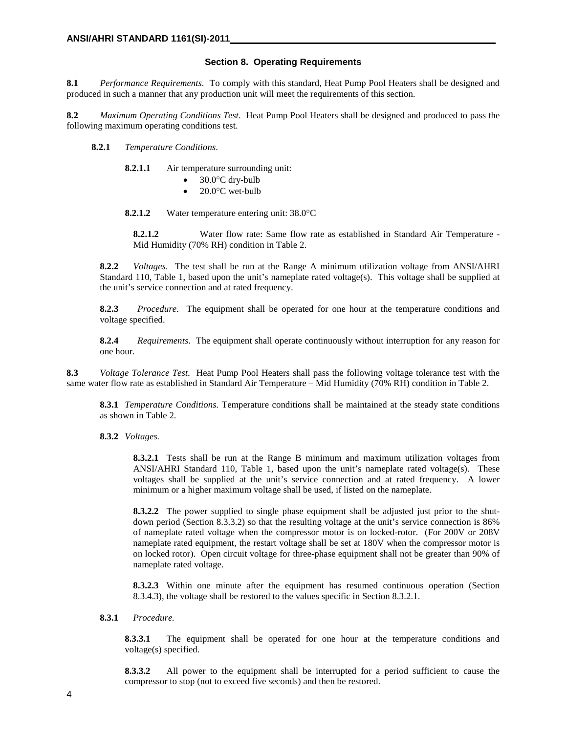#### **Section 8. Operating Requirements**

**8.1** *Performance Requirements*. To comply with this standard, Heat Pump Pool Heaters shall be designed and produced in such a manner that any production unit will meet the requirements of this section.

**8.2** *Maximum Operating Conditions Test*. Heat Pump Pool Heaters shall be designed and produced to pass the following maximum operating conditions test.

- **8.2.1** *Temperature Conditions*.
	- **8.2.1.1** Air temperature surrounding unit:
		- 30.0°C dry-bulb
		- 20.0°C wet-bulb

**8.2.1.2** Water temperature entering unit: 38.0°C

**8.2.1.2** Water flow rate: Same flow rate as established in Standard Air Temperature -Mid Humidity (70% RH) condition in Table 2.

**8.2.2** *Voltages*. The test shall be run at the Range A minimum utilization voltage from ANSI/AHRI Standard 110, Table 1, based upon the unit's nameplate rated voltage(s). This voltage shall be supplied at the unit's service connection and at rated frequency.

**8.2.3** *Procedure*. The equipment shall be operated for one hour at the temperature conditions and voltage specified.

**8.2.4** *Requirements*. The equipment shall operate continuously without interruption for any reason for one hour.

**8.3** *Voltage Tolerance Test*. Heat Pump Pool Heaters shall pass the following voltage tolerance test with the same water flow rate as established in Standard Air Temperature – Mid Humidity (70% RH) condition in Table 2.

**8.3.1** *Temperature Conditions.* Temperature conditions shall be maintained at the steady state conditions as shown in Table 2.

**8.3.2** *Voltages.*

**8.3.2.1** Tests shall be run at the Range B minimum and maximum utilization voltages from ANSI/AHRI Standard 110, Table 1, based upon the unit's nameplate rated voltage(s). These voltages shall be supplied at the unit's service connection and at rated frequency. A lower minimum or a higher maximum voltage shall be used, if listed on the nameplate.

**8.3.2.2** The power supplied to single phase equipment shall be adjusted just prior to the shutdown period (Section 8.3.3.2) so that the resulting voltage at the unit's service connection is 86% of nameplate rated voltage when the compressor motor is on locked-rotor. (For 200V or 208V nameplate rated equipment, the restart voltage shall be set at 180V when the compressor motor is on locked rotor). Open circuit voltage for three-phase equipment shall not be greater than 90% of nameplate rated voltage.

**8.3.2.3** Within one minute after the equipment has resumed continuous operation (Section 8.3.4.3), the voltage shall be restored to the values specific in Section 8.3.2.1.

#### **8.3.1** *Procedure.*

**8.3.3.1** The equipment shall be operated for one hour at the temperature conditions and voltage(s) specified.

**8.3.3.2** All power to the equipment shall be interrupted for a period sufficient to cause the compressor to stop (not to exceed five seconds) and then be restored.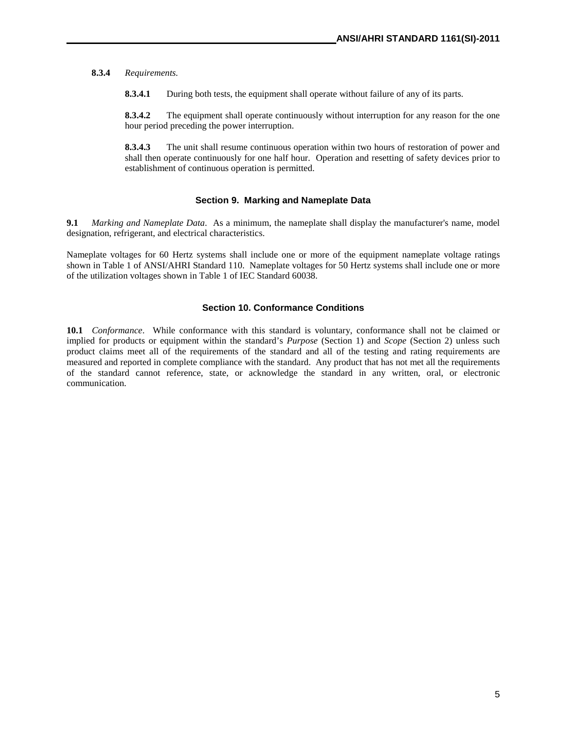#### **8.3.4** *Requirements.*

**8.3.4.1** During both tests, the equipment shall operate without failure of any of its parts.

**8.3.4.2** The equipment shall operate continuously without interruption for any reason for the one hour period preceding the power interruption.

**8.3.4.3** The unit shall resume continuous operation within two hours of restoration of power and shall then operate continuously for one half hour. Operation and resetting of safety devices prior to establishment of continuous operation is permitted.

#### **Section 9. Marking and Nameplate Data**

**9.1** *Marking and Nameplate Data*. As a minimum, the nameplate shall display the manufacturer's name, model designation, refrigerant, and electrical characteristics.

Nameplate voltages for 60 Hertz systems shall include one or more of the equipment nameplate voltage ratings shown in Table 1 of ANSI/AHRI Standard 110. Nameplate voltages for 50 Hertz systems shall include one or more of the utilization voltages shown in Table 1 of IEC Standard 60038.

#### **Section 10. Conformance Conditions**

**10.1** *Conformance*. While conformance with this standard is voluntary, conformance shall not be claimed or implied for products or equipment within the standard's *Purpose* (Section 1) and *Scope* (Section 2) unless such product claims meet all of the requirements of the standard and all of the testing and rating requirements are measured and reported in complete compliance with the standard. Any product that has not met all the requirements of the standard cannot reference, state, or acknowledge the standard in any written, oral, or electronic communication.